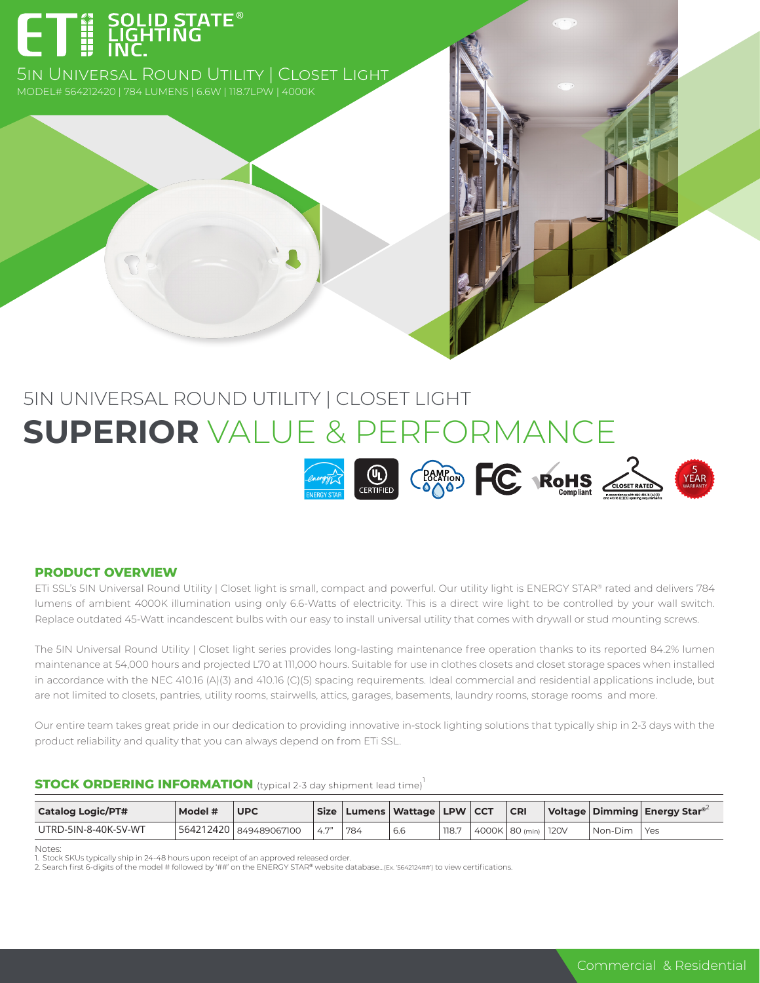# **- A SOLID STATE®**<br>- HI LIGHTING<br>- HI LINC

5in Universal Round Utility | Closet Light

## 5IN UNIVERSAL ROUND UTILITY | CLOSET LIGHT **SUPERIOR** VALUE & PERFORMANCE



#### **PRODUCT OVERVIEW**

ETi SSL's 5IN Universal Round Utility | Closet light is small, compact and powerful. Our utility light is ENERGY STAR® rated and delivers 784 lumens of ambient 4000K illumination using only 6.6-Watts of electricity. This is a direct wire light to be controlled by your wall switch. Replace outdated 45-Watt incandescent bulbs with our easy to install universal utility that comes with drywall or stud mounting screws.

The 5IN Universal Round Utility | Closet light series provides long-lasting maintenance free operation thanks to its reported 84.2% lumen maintenance at 54,000 hours and projected L70 at 111,000 hours. Suitable for use in clothes closets and closet storage spaces when installed in accordance with the NEC 410.16 (A)(3) and 410.16 (C)(5) spacing requirements. Ideal commercial and residential applications include, but are not limited to closets, pantries, utility rooms, stairwells, attics, garages, basements, laundry rooms, storage rooms and more.

Our entire team takes great pride in our dedication to providing innovative in-stock lighting solutions that typically ship in 2-3 days with the product reliability and quality that you can always depend on from ETi SSL.

#### **STOCK ORDERING INFORMATION** (typical 2-3 day shipment lead time)<sup>1</sup>

| <b>Catalog Logic/PT#</b> | Model # | <b>UPC</b>             |     |     | 'Size   Lumens   Wattage   LPW   CCT |       | CR             |      |         | Voltage   Dimming   Energy Star <sup>®2</sup> |
|--------------------------|---------|------------------------|-----|-----|--------------------------------------|-------|----------------|------|---------|-----------------------------------------------|
| UTRD-5IN-8-40K-SV-WT     |         | 564212420 849489067100 | 47" | 784 | 6.6                                  | 118.7 | 4000K 80 (min) | 120V | Non-Dim | Yes                                           |

Notes:

1. Stock SKUs typically ship in 24-48 hours upon receipt of an approved released order.<br>2. Search first 6-digits of the model # followed by '##' on the ENERGY STAR® website database…(Ex. '5642124##') to view certification